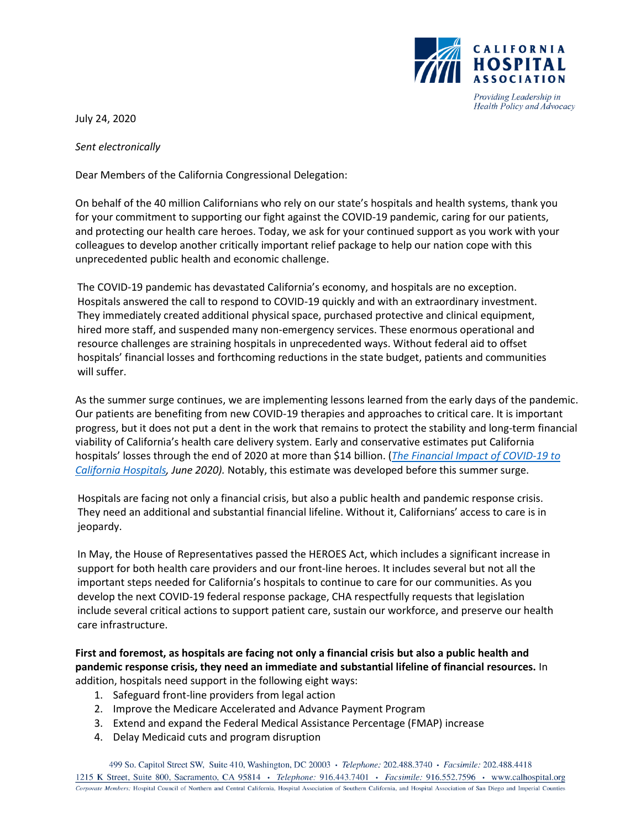

July 24, 2020

*Sent electronically*

Dear Members of the California Congressional Delegation:

On behalf of the 40 million Californians who rely on our state's hospitals and health systems, thank you for your commitment to supporting our fight against the COVID-19 pandemic, caring for our patients, and protecting our health care heroes. Today, we ask for your continued support as you work with your colleagues to develop another critically important relief package to help our nation cope with this unprecedented public health and economic challenge.

The COVID-19 pandemic has devastated California's economy, and hospitals are no exception. Hospitals answered the call to respond to COVID-19 quickly and with an extraordinary investment. They immediately created additional physical space, purchased protective and clinical equipment, hired more staff, and suspended many non-emergency services. These enormous operational and resource challenges are straining hospitals in unprecedented ways. Without federal aid to offset hospitals' financial losses and forthcoming reductions in the state budget, patients and communities will suffer.

As the summer surge continues, we are implementing lessons learned from the early days of the pandemic. Our patients are benefiting from new COVID-19 therapies and approaches to critical care. It is important progress, but it does not put a dent in the work that remains to protect the stability and long-term financial viability of California's health care delivery system. Early and conservative estimates put California hospitals' losses through the end of 2020 at more than \$14 billion. (*[The Financial Impact of COVID-19 to](https://www.calhospital.org/sites/main/files/kh_covid_ca_financial_impact_6.1.20_final_0.pdf)  [California Hospitals,](https://www.calhospital.org/sites/main/files/kh_covid_ca_financial_impact_6.1.20_final_0.pdf) June 2020).* Notably, this estimate was developed before this summer surge.

Hospitals are facing not only a financial crisis, but also a public health and pandemic response crisis. They need an additional and substantial financial lifeline. Without it, Californians' access to care is in jeopardy.

In May, the House of Representatives passed the HEROES Act, which includes a significant increase in support for both health care providers and our front-line heroes. It includes several but not all the important steps needed for California's hospitals to continue to care for our communities. As you develop the next COVID-19 federal response package, CHA respectfully requests that legislation include several critical actions to support patient care, sustain our workforce, and preserve our health care infrastructure.

**First and foremost, as hospitals are facing not only a financial crisis but also a public health and pandemic response crisis, they need an immediate and substantial lifeline of financial resources.** In addition, hospitals need support in the following eight ways:

- 1. Safeguard front-line providers from legal action
- 2. Improve the Medicare Accelerated and Advance Payment Program
- 3. Extend and expand the Federal Medical Assistance Percentage (FMAP) increase
- 4. Delay Medicaid cuts and program disruption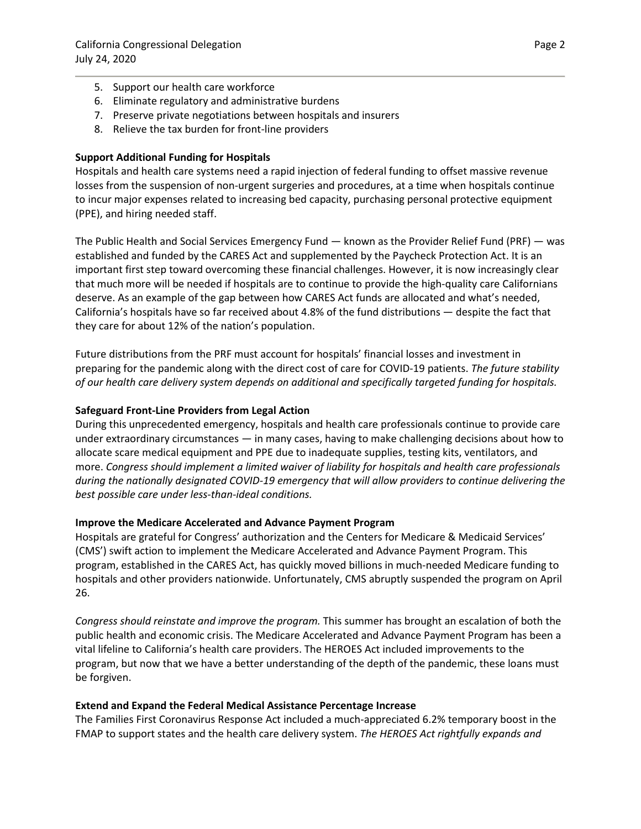- 5. Support our health care workforce
- 6. Eliminate regulatory and administrative burdens
- 7. Preserve private negotiations between hospitals and insurers
- 8. Relieve the tax burden for front-line providers

# **Support Additional Funding for Hospitals**

Hospitals and health care systems need a rapid injection of federal funding to offset massive revenue losses from the suspension of non-urgent surgeries and procedures, at a time when hospitals continue to incur major expenses related to increasing bed capacity, purchasing personal protective equipment (PPE), and hiring needed staff.

The Public Health and Social Services Emergency Fund — known as the Provider Relief Fund (PRF) — was established and funded by the CARES Act and supplemented by the Paycheck Protection Act. It is an important first step toward overcoming these financial challenges. However, it is now increasingly clear that much more will be needed if hospitals are to continue to provide the high-quality care Californians deserve. As an example of the gap between how CARES Act funds are allocated and what's needed, California's hospitals have so far received about 4.8% of the fund distributions — despite the fact that they care for about 12% of the nation's population.

Future distributions from the PRF must account for hospitals' financial losses and investment in preparing for the pandemic along with the direct cost of care for COVID-19 patients. *The future stability of our health care delivery system depends on additional and specifically targeted funding for hospitals.*

# **Safeguard Front-Line Providers from Legal Action**

During this unprecedented emergency, hospitals and health care professionals continue to provide care under extraordinary circumstances — in many cases, having to make challenging decisions about how to allocate scare medical equipment and PPE due to inadequate supplies, testing kits, ventilators, and more. *Congress should implement a limited waiver of liability for hospitals and health care professionals during the nationally designated COVID-19 emergency that will allow providers to continue delivering the best possible care under less-than-ideal conditions.*

# **Improve the Medicare Accelerated and Advance Payment Program**

Hospitals are grateful for Congress' authorization and the Centers for Medicare & Medicaid Services' (CMS') swift action to implement the Medicare Accelerated and Advance Payment Program. This program, established in the CARES Act, has quickly moved billions in much-needed Medicare funding to hospitals and other providers nationwide. Unfortunately, CMS abruptly suspended the program on April 26.

*Congress should reinstate and improve the program.* This summer has brought an escalation of both the public health and economic crisis. The Medicare Accelerated and Advance Payment Program has been a vital lifeline to California's health care providers. The HEROES Act included improvements to the program, but now that we have a better understanding of the depth of the pandemic, these loans must be forgiven.

# **Extend and Expand the Federal Medical Assistance Percentage Increase**

The Families First Coronavirus Response Act included a much-appreciated 6.2% temporary boost in the FMAP to support states and the health care delivery system. *The HEROES Act rightfully expands and*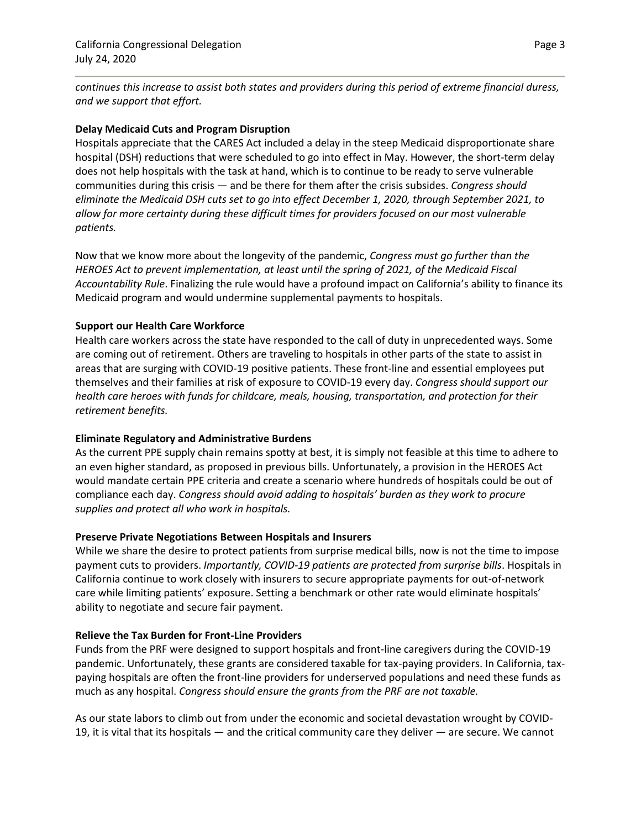*continues this increase to assist both states and providers during this period of extreme financial duress, and we support that effort.* 

### **Delay Medicaid Cuts and Program Disruption**

Hospitals appreciate that the CARES Act included a delay in the steep Medicaid disproportionate share hospital (DSH) reductions that were scheduled to go into effect in May. However, the short-term delay does not help hospitals with the task at hand, which is to continue to be ready to serve vulnerable communities during this crisis — and be there for them after the crisis subsides. *Congress should eliminate the Medicaid DSH cuts set to go into effect December 1, 2020, through September 2021, to allow for more certainty during these difficult times for providers focused on our most vulnerable patients.*

Now that we know more about the longevity of the pandemic, *Congress must go further than the HEROES Act to prevent implementation, at least until the spring of 2021, of the Medicaid Fiscal Accountability Rule*. Finalizing the rule would have a profound impact on California's ability to finance its Medicaid program and would undermine supplemental payments to hospitals.

### **Support our Health Care Workforce**

Health care workers across the state have responded to the call of duty in unprecedented ways. Some are coming out of retirement. Others are traveling to hospitals in other parts of the state to assist in areas that are surging with COVID-19 positive patients. These front-line and essential employees put themselves and their families at risk of exposure to COVID-19 every day. *Congress should support our health care heroes with funds for childcare, meals, housing, transportation, and protection for their retirement benefits.* 

#### **Eliminate Regulatory and Administrative Burdens**

As the current PPE supply chain remains spotty at best, it is simply not feasible at this time to adhere to an even higher standard, as proposed in previous bills. Unfortunately, a provision in the HEROES Act would mandate certain PPE criteria and create a scenario where hundreds of hospitals could be out of compliance each day. *Congress should avoid adding to hospitals' burden as they work to procure supplies and protect all who work in hospitals.*

#### **Preserve Private Negotiations Between Hospitals and Insurers**

While we share the desire to protect patients from surprise medical bills, now is not the time to impose payment cuts to providers. *Importantly, COVID-19 patients are protected from surprise bills*. Hospitals in California continue to work closely with insurers to secure appropriate payments for out-of-network care while limiting patients' exposure. Setting a benchmark or other rate would eliminate hospitals' ability to negotiate and secure fair payment.

# **Relieve the Tax Burden for Front-Line Providers**

Funds from the PRF were designed to support hospitals and front-line caregivers during the COVID-19 pandemic. Unfortunately, these grants are considered taxable for tax-paying providers. In California, taxpaying hospitals are often the front-line providers for underserved populations and need these funds as much as any hospital. *Congress should ensure the grants from the PRF are not taxable.* 

As our state labors to climb out from under the economic and societal devastation wrought by COVID-19, it is vital that its hospitals — and the critical community care they deliver — are secure. We cannot